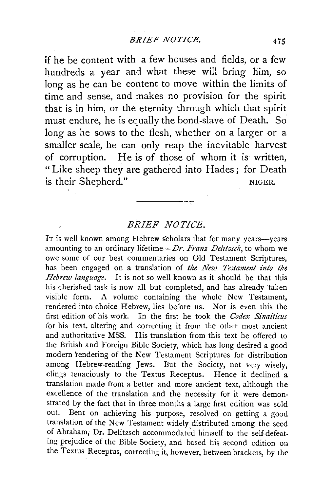if he be content with a few houses and fields, or a few hundteds a year and what these will bring him, so long as he can be content to move within the limits of time and sense, and makes no provision for the spirit that is in him, or the eternity through which that spirit must endure, he is equally the bond-slave of Death. So long as he sows to the flesh, whether on a larger or a smaller scale, he can only reap the inevitable harvest of corruption. He is of those of whom it is written, " Like sheep they are gathered into Hades ; for Death is their Shepherd." NIGER.

## *BRIEF NOTICE.*

IT is well known among Hebrew scholars that for many years-years amounting to an ordinary lifetime-*Dr. Franz Delttzsch*, to whom we owe some of our best commentaries on Old Testament Scriptures, has been engaged on a translation of *the New Testament into the Hebrew language.* It is not so well known as it should be that this his cherished task is now all but completed, and has already taken visible form. A volume containing the whole New Testament, rendered into choice Hebrew, lies before us. Nor is even this the first edition of his work. In the first he took the *Codex Sinaiticus*  for his text, altering and correcting it from the other most ancient and authoritative MSS. His translation from this text he offered to the British and Foreign Bible Society, which has long desired a good modern rendering of the New Testament Scriptures for distribution among Hebrew-reading Jews. But the Society, not very wisely, clings tenaciously to the Textus Receptus. Hence it declined a translation made from a better and more ancient text, although the excellence of the translation and the necessity for it were demonstrated by the fact that in three months a large first edition was sold out. Bent on achieving his purpose, resolved on getting a good translation of the New Testament widely distributed among the seed of Abraham, Dr. Delitzsch accommodated himself to the self-defeating prejudice of the Bible Society, and based his second edition on the Textus Receptus, correcting it, however, between brackets, by the